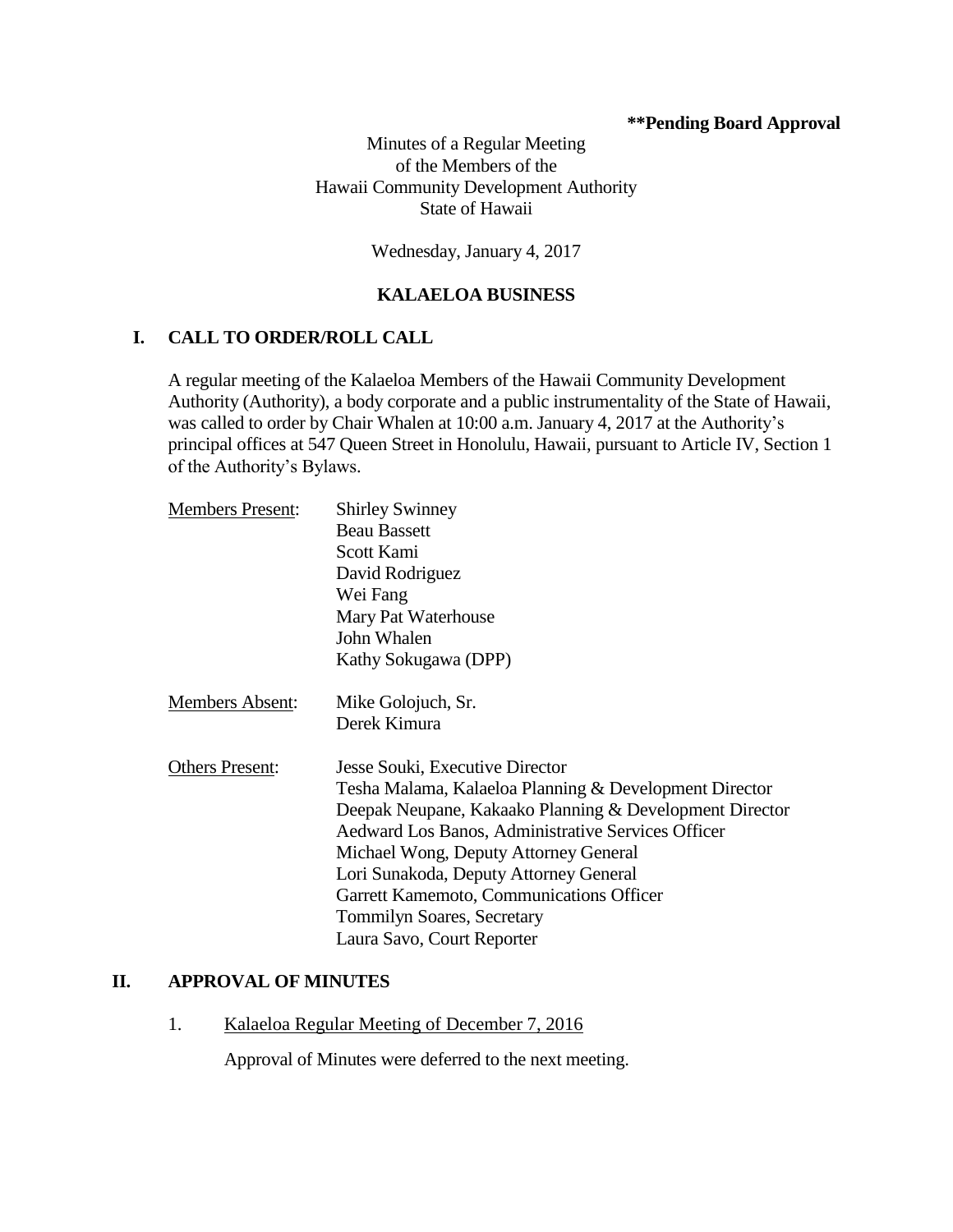## **\*\*Pending Board Approval**

Minutes of a Regular Meeting of the Members of the Hawaii Community Development Authority State of Hawaii

Wednesday, January 4, 2017

# **KALAELOA BUSINESS**

## **I. CALL TO ORDER/ROLL CALL**

A regular meeting of the Kalaeloa Members of the Hawaii Community Development Authority (Authority), a body corporate and a public instrumentality of the State of Hawaii, was called to order by Chair Whalen at 10:00 a.m. January 4, 2017 at the Authority's principal offices at 547 Queen Street in Honolulu, Hawaii, pursuant to Article IV, Section 1 of the Authority's Bylaws.

| <b>Members Present:</b> | <b>Shirley Swinney</b>                                  |
|-------------------------|---------------------------------------------------------|
|                         | <b>Beau Bassett</b>                                     |
|                         | Scott Kami                                              |
|                         | David Rodriguez                                         |
|                         | Wei Fang                                                |
|                         | Mary Pat Waterhouse                                     |
|                         | John Whalen                                             |
|                         | Kathy Sokugawa (DPP)                                    |
| Members Absent:         | Mike Golojuch, Sr.                                      |
|                         | Derek Kimura                                            |
| <b>Others Present:</b>  | Jesse Souki, Executive Director                         |
|                         | Tesha Malama, Kalaeloa Planning & Development Director  |
|                         | Deepak Neupane, Kakaako Planning & Development Director |
|                         | Aedward Los Banos, Administrative Services Officer      |
|                         | Michael Wong, Deputy Attorney General                   |
|                         | Lori Sunakoda, Deputy Attorney General                  |
|                         | Garrett Kamemoto, Communications Officer                |
|                         | <b>Tommilyn Soares, Secretary</b>                       |
|                         | Laura Savo, Court Reporter                              |

#### **II. APPROVAL OF MINUTES**

1. Kalaeloa Regular Meeting of December 7, 2016

Approval of Minutes were deferred to the next meeting.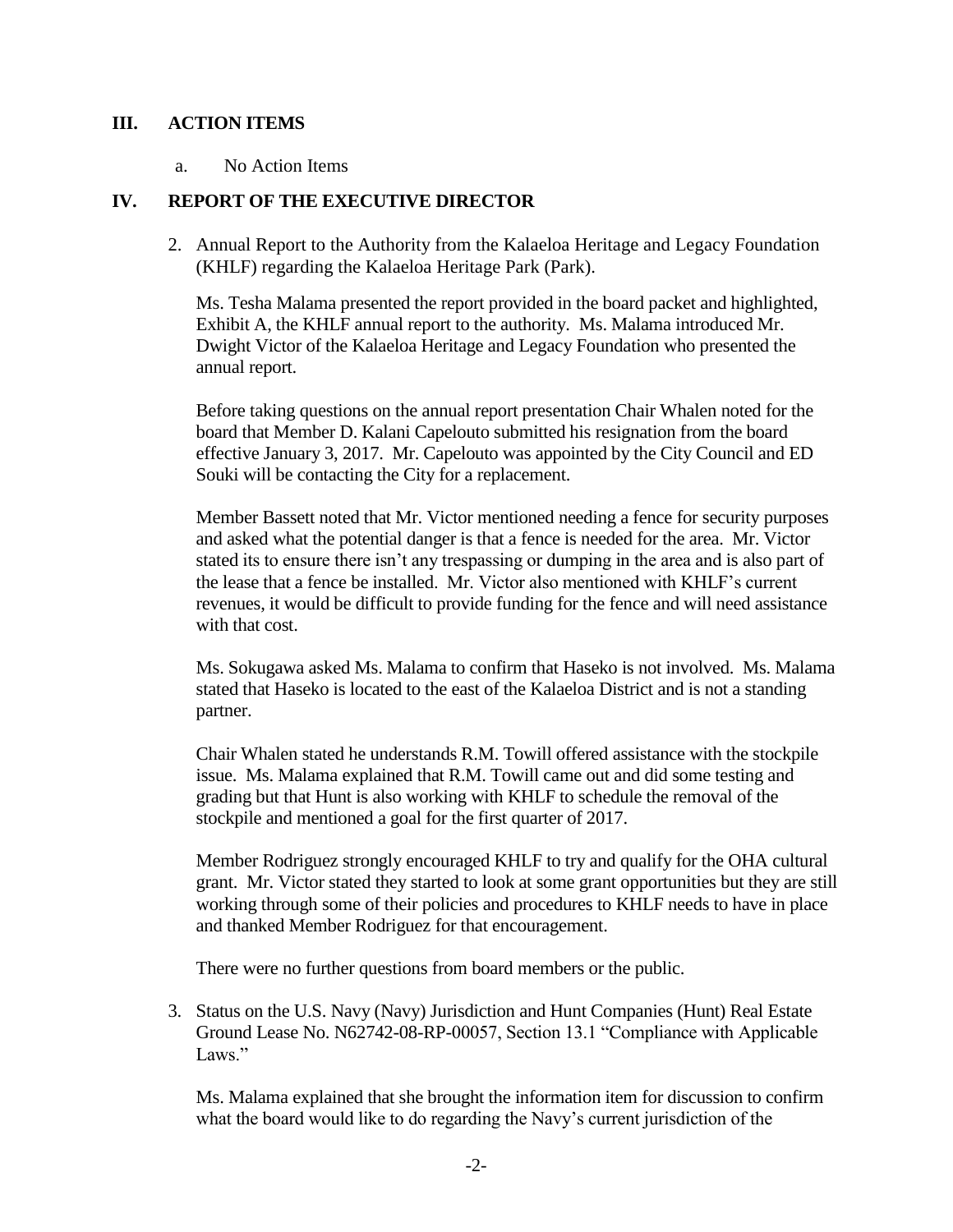## **III. ACTION ITEMS**

a. No Action Items

# **IV. REPORT OF THE EXECUTIVE DIRECTOR**

2. Annual Report to the Authority from the Kalaeloa Heritage and Legacy Foundation (KHLF) regarding the Kalaeloa Heritage Park (Park).

Ms. Tesha Malama presented the report provided in the board packet and highlighted, Exhibit A, the KHLF annual report to the authority. Ms. Malama introduced Mr. Dwight Victor of the Kalaeloa Heritage and Legacy Foundation who presented the annual report.

Before taking questions on the annual report presentation Chair Whalen noted for the board that Member D. Kalani Capelouto submitted his resignation from the board effective January 3, 2017. Mr. Capelouto was appointed by the City Council and ED Souki will be contacting the City for a replacement.

Member Bassett noted that Mr. Victor mentioned needing a fence for security purposes and asked what the potential danger is that a fence is needed for the area. Mr. Victor stated its to ensure there isn't any trespassing or dumping in the area and is also part of the lease that a fence be installed. Mr. Victor also mentioned with KHLF's current revenues, it would be difficult to provide funding for the fence and will need assistance with that cost.

Ms. Sokugawa asked Ms. Malama to confirm that Haseko is not involved. Ms. Malama stated that Haseko is located to the east of the Kalaeloa District and is not a standing partner.

Chair Whalen stated he understands R.M. Towill offered assistance with the stockpile issue. Ms. Malama explained that R.M. Towill came out and did some testing and grading but that Hunt is also working with KHLF to schedule the removal of the stockpile and mentioned a goal for the first quarter of 2017.

Member Rodriguez strongly encouraged KHLF to try and qualify for the OHA cultural grant. Mr. Victor stated they started to look at some grant opportunities but they are still working through some of their policies and procedures to KHLF needs to have in place and thanked Member Rodriguez for that encouragement.

There were no further questions from board members or the public.

3. Status on the U.S. Navy (Navy) Jurisdiction and Hunt Companies (Hunt) Real Estate Ground Lease No. N62742-08-RP-00057, Section 13.1 "Compliance with Applicable Laws."

Ms. Malama explained that she brought the information item for discussion to confirm what the board would like to do regarding the Navy's current jurisdiction of the